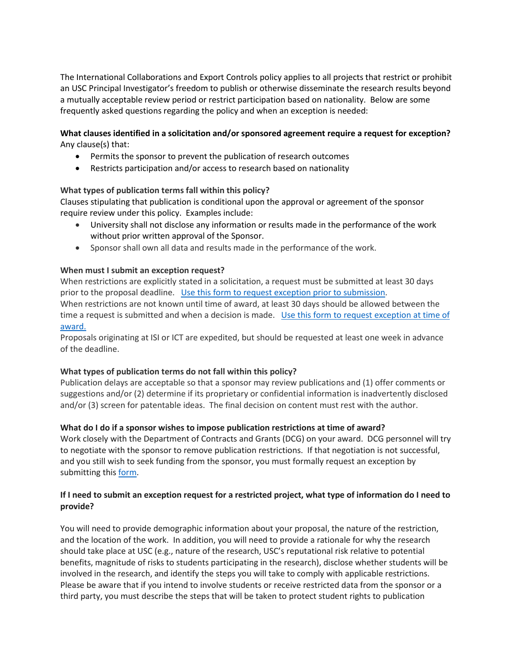The International Collaborations and Export Controls policy applies to all projects that restrict or prohibit an USC Principal Investigator's freedom to publish or otherwise disseminate the research results beyond a mutually acceptable review period or restrict participation based on nationality. Below are some frequently asked questions regarding the policy and when an exception is needed:

#### **What clauses identified in a solicitation and/or sponsored agreement require a request for exception?** Any clause(s) that:

- Permits the sponsor to prevent the publication of research outcomes
- Restricts participation and/or access to research based on nationality

## **What types of publication terms fall within this policy?**

Clauses stipulating that publication is conditional upon the approval or agreement of the sponsor require review under this policy. Examples include:

- University shall not disclose any information or results made in the performance of the work without prior written approval of the Sponsor.
- Sponsor shall own all data and results made in the performance of the work.

## **When must I submit an exception request?**

When restrictions are explicitly stated in a solicitation, a request must be submitted at least 30 days prior to the proposal deadline. [Use this form to request exception prior to submission.](https://research.usc.edu/files/2017/01/restricted-research-proposal-exception-request-memo-4.3.17.docx) When restrictions are not known until time of award, at least 30 days should be allowed between the time a request is submitted and when a decision is made. [Use this form to request exception at time of](https://research.usc.edu/files/2017/01/restricted-research-proposal-exception-request-memo-4.3.17.docx)  [award.](https://research.usc.edu/files/2017/01/restricted-research-proposal-exception-request-memo-4.3.17.docx)

Proposals originating at ISI or ICT are expedited, but should be requested at least one week in advance of the deadline.

#### **What types of publication terms do not fall within this policy?**

Publication delays are acceptable so that a sponsor may review publications and (1) offer comments or suggestions and/or (2) determine if its proprietary or confidential information is inadvertently disclosed and/or (3) screen for patentable ideas. The final decision on content must rest with the author.

#### **What do I do if a sponsor wishes to impose publication restrictions at time of award?**

Work closely with the Department of Contracts and Grants (DCG) on your award. DCG personnel will try to negotiate with the sponsor to remove publication restrictions. If that negotiation is not successful, and you still wish to seek funding from the sponsor, you must formally request an exception by submitting this [form.](https://research.usc.edu/files/2017/01/restricted-research-proposal-exception-request-memo-4.3.17.docx)

# **If I need to submit an exception request for a restricted project, what type of information do I need to provide?**

You will need to provide demographic information about your proposal, the nature of the restriction, and the location of the work. In addition, you will need to provide a rationale for why the research should take place at USC (e.g., nature of the research, USC's reputational risk relative to potential benefits, magnitude of risks to students participating in the research), disclose whether students will be involved in the research, and identify the steps you will take to comply with applicable restrictions. Please be aware that if you intend to involve students or receive restricted data from the sponsor or a third party, you must describe the steps that will be taken to protect student rights to publication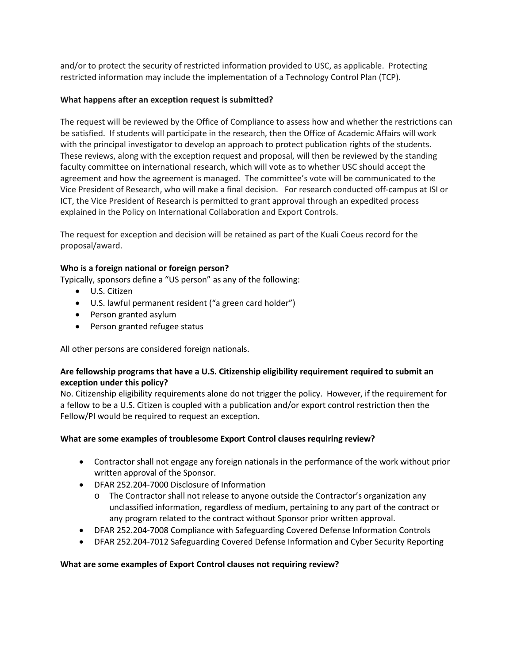and/or to protect the security of restricted information provided to USC, as applicable. Protecting restricted information may include the implementation of a Technology Control Plan (TCP).

## **What happens after an exception request is submitted?**

The request will be reviewed by the Office of Compliance to assess how and whether the restrictions can be satisfied. If students will participate in the research, then the Office of Academic Affairs will work with the principal investigator to develop an approach to protect publication rights of the students. These reviews, along with the exception request and proposal, will then be reviewed by the standing faculty committee on international research, which will vote as to whether USC should accept the agreement and how the agreement is managed. The committee's vote will be communicated to the Vice President of Research, who will make a final decision. For research conducted off-campus at ISI or ICT, the Vice President of Research is permitted to grant approval through an expedited process explained in the Policy on International Collaboration and Export Controls.

The request for exception and decision will be retained as part of the Kuali Coeus record for the proposal/award.

## **Who is a foreign national or foreign person?**

Typically, sponsors define a "US person" as any of the following:

- U.S. Citizen
- U.S. lawful permanent resident ("a green card holder")
- Person granted asylum
- Person granted refugee status

All other persons are considered foreign nationals.

## **Are fellowship programs that have a U.S. Citizenship eligibility requirement required to submit an exception under this policy?**

No. Citizenship eligibility requirements alone do not trigger the policy. However, if the requirement for a fellow to be a U.S. Citizen is coupled with a publication and/or export control restriction then the Fellow/PI would be required to request an exception.

# **What are some examples of troublesome Export Control clauses requiring review?**

- Contractor shall not engage any foreign nationals in the performance of the work without prior written approval of the Sponsor.
- DFAR 252.204-7000 Disclosure of Information
	- o The Contractor shall not release to anyone outside the Contractor's organization any unclassified information, regardless of medium, pertaining to any part of the contract or any program related to the contract without Sponsor prior written approval.
- DFAR 252.204-7008 Compliance with Safeguarding Covered Defense Information Controls
- DFAR 252.204-7012 Safeguarding Covered Defense Information and Cyber Security Reporting

#### **What are some examples of Export Control clauses not requiring review?**